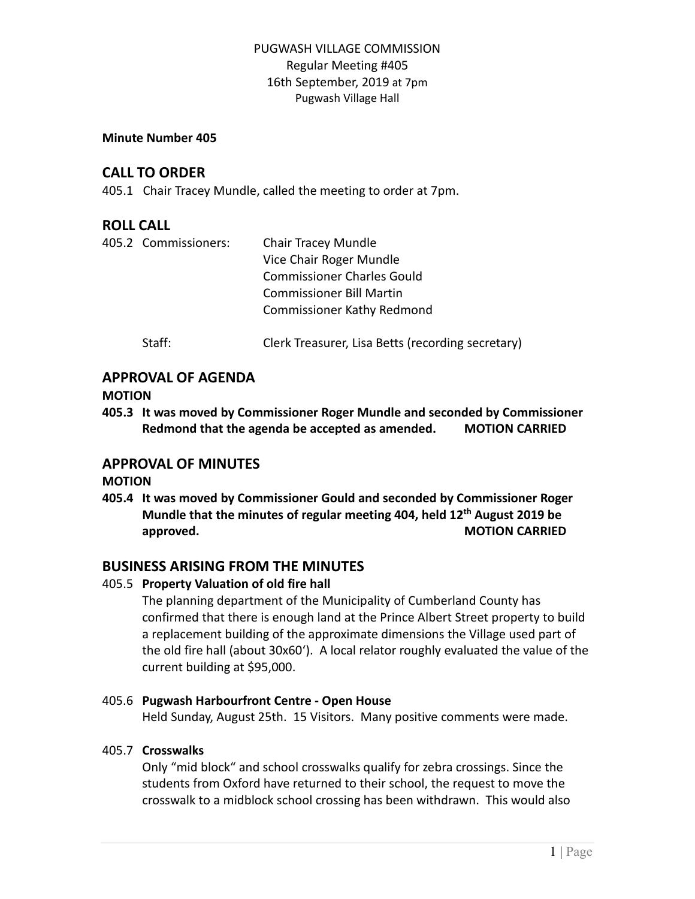#### **Minute Number 405**

### **CALL TO ORDER**

405.1 Chair Tracey Mundle, called the meeting to order at 7pm.

### **ROLL CALL**

|  | 405.2 Commissioners: | <b>Chair Tracey Mundle</b>        |
|--|----------------------|-----------------------------------|
|  |                      | Vice Chair Roger Mundle           |
|  |                      | <b>Commissioner Charles Gould</b> |
|  |                      | <b>Commissioner Bill Martin</b>   |
|  |                      | <b>Commissioner Kathy Redmond</b> |
|  |                      |                                   |

Staff: Clerk Treasurer, Lisa Betts (recording secretary)

### **APPROVAL OF AGENDA**

**MOTION**

**405.3 It was moved by Commissioner Roger Mundle and seconded by Commissioner Redmond that the agenda be accepted as amended. MOTION CARRIED**

### **APPROVAL OF MINUTES**

**MOTION**

**405.4 It was moved by Commissioner Gould and seconded by Commissioner Roger Mundle that the minutes of regular meeting 404, held 12 th August 2019 be approved. MOTION CARRIED**

## **BUSINESS ARISING FROM THE MINUTES**

### 405.5 **Property Valuation of old fire hall**

The planning department of the Municipality of Cumberland County has confirmed that there is enough land at the Prince Albert Street property to build a replacement building of the approximate dimensions the Village used part of the old fire hall (about 30x60'). A local relator roughly evaluated the value of the current building at \$95,000.

### 405.6 **Pugwash Harbourfront Centre - Open House**

Held Sunday, August 25th. 15 Visitors. Many positive comments were made.

#### 405.7 **Crosswalks**

Only "mid block" and school crosswalks qualify for zebra crossings. Since the students from Oxford have returned to their school, the request to move the crosswalk to a midblock school crossing has been withdrawn. This would also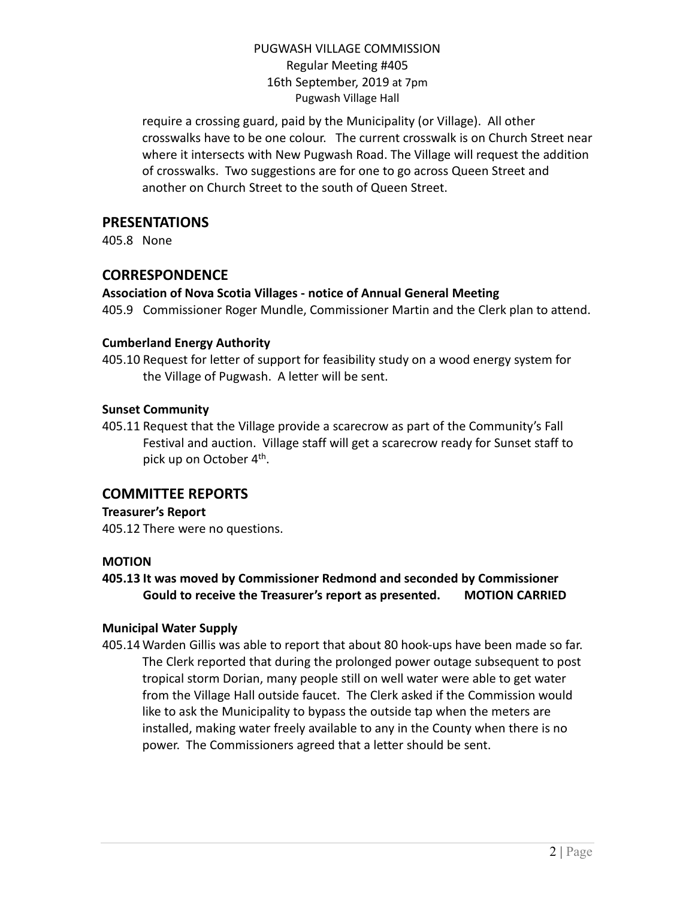require a crossing guard, paid by the Municipality (or Village). All other crosswalks have to be one colour. The current crosswalk is on Church Street near where it intersects with New Pugwash Road. The Village will request the addition of crosswalks. Two suggestions are for one to go across Queen Street and another on Church Street to the south of Queen Street.

### **PRESENTATIONS**

405.8 None

## **CORRESPONDENCE**

### **Association of Nova Scotia Villages - notice of Annual General Meeting**

405.9 Commissioner Roger Mundle, Commissioner Martin and the Clerk plan to attend.

#### **Cumberland Energy Authority**

405.10 Request for letter of support for feasibility study on a wood energy system for the Village of Pugwash. A letter will be sent.

#### **Sunset Community**

405.11 Request that the Village provide a scarecrow as part of the Community's Fall Festival and auction. Village staff will get a scarecrow ready for Sunset staff to pick up on October 4<sup>th</sup>.

## **COMMITTEE REPORTS**

**Treasurer's Report** 405.12 There were no questions.

## **MOTION**

### **405.13 It was moved by Commissioner Redmond and seconded by Commissioner Gould to receive the Treasurer's report as presented. MOTION CARRIED**

### **Municipal Water Supply**

405.14 Warden Gillis was able to report that about 80 hook-ups have been made so far. The Clerk reported that during the prolonged power outage subsequent to post tropical storm Dorian, many people still on well water were able to get water from the Village Hall outside faucet. The Clerk asked if the Commission would like to ask the Municipality to bypass the outside tap when the meters are installed, making water freely available to any in the County when there is no power. The Commissioners agreed that a letter should be sent.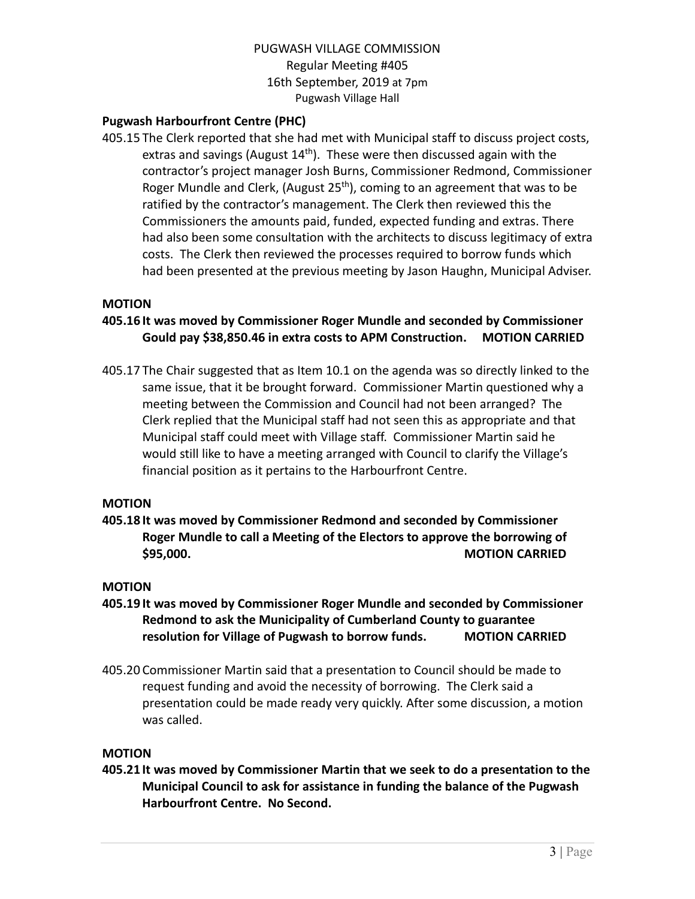#### **Pugwash Harbourfront Centre (PHC)**

405.15 The Clerk reported that she had met with Municipal staff to discuss project costs, extras and savings (August  $14<sup>th</sup>$ ). These were then discussed again with the contractor's project manager Josh Burns, Commissioner Redmond, Commissioner Roger Mundle and Clerk, (August 25<sup>th</sup>), coming to an agreement that was to be ratified by the contractor's management. The Clerk then reviewed this the Commissioners the amounts paid, funded, expected funding and extras. There had also been some consultation with the architects to discuss legitimacy of extra costs. The Clerk then reviewed the processes required to borrow funds which had been presented at the previous meeting by Jason Haughn, Municipal Adviser.

#### **MOTION**

### **405.16 It was moved by Commissioner Roger Mundle and seconded by Commissioner Gould pay \$38,850.46 in extra costs to APM Construction. MOTION CARRIED**

405.17 The Chair suggested that as Item 10.1 on the agenda was so directly linked to the same issue, that it be brought forward. Commissioner Martin questioned why a meeting between the Commission and Council had not been arranged? The Clerk replied that the Municipal staff had not seen this as appropriate and that Municipal staff could meet with Village staff. Commissioner Martin said he would still like to have a meeting arranged with Council to clarify the Village's financial position as it pertains to the Harbourfront Centre.

#### **MOTION**

**405.18 It was moved by Commissioner Redmond and seconded by Commissioner Roger Mundle to call a Meeting of the Electors to approve the borrowing of \$95,000. MOTION CARRIED**

#### **MOTION**

- **405.19 It was moved by Commissioner Roger Mundle and seconded by Commissioner Redmond to ask the Municipality of Cumberland County to guarantee resolution for Village of Pugwash to borrow funds. MOTION CARRIED**
- 405.20 Commissioner Martin said that a presentation to Council should be made to request funding and avoid the necessity of borrowing. The Clerk said a presentation could be made ready very quickly. After some discussion, a motion was called.

#### **MOTION**

**405.21 It was moved by Commissioner Martin that we seek to do a presentation to the Municipal Council to ask for assistance in funding the balance of the Pugwash Harbourfront Centre. No Second.**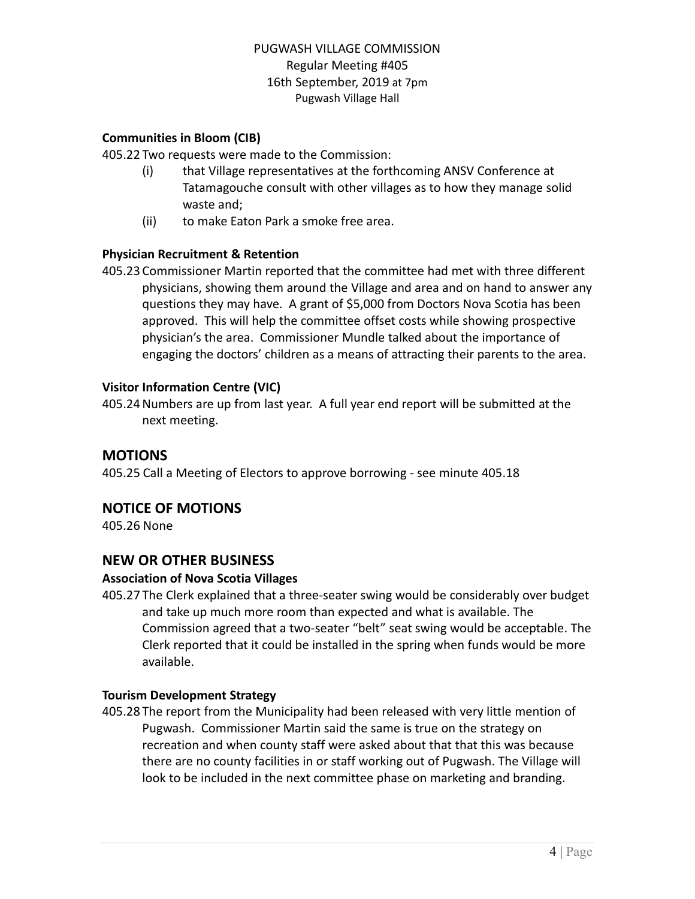#### **Communities in Bloom (CIB)**

405.22 Two requests were made to the Commission:

- (i) that Village representatives at the forthcoming ANSV Conference at Tatamagouche consult with other villages as to how they manage solid waste and;
- (ii) to make Eaton Park a smoke free area.

#### **Physician Recruitment & Retention**

405.23 Commissioner Martin reported that the committee had met with three different physicians, showing them around the Village and area and on hand to answer any questions they may have. A grant of \$5,000 from Doctors Nova Scotia has been approved. This will help the committee offset costs while showing prospective physician's the area. Commissioner Mundle talked about the importance of engaging the doctors' children as a means of attracting their parents to the area.

#### **Visitor Information Centre (VIC)**

405.24Numbers are up from last year. A full year end report will be submitted at the next meeting.

### **MOTIONS**

405.25 Call a Meeting of Electors to approve borrowing - see minute 405.18

### **NOTICE OF MOTIONS**

405.26 None

## **NEW OR OTHER BUSINESS**

### **Association of Nova Scotia Villages**

405.27 The Clerk explained that a three-seater swing would be considerably over budget and take up much more room than expected and what is available. The Commission agreed that a two-seater "belt" seat swing would be acceptable. The Clerk reported that it could be installed in the spring when funds would be more available.

#### **Tourism Development Strategy**

405.28 The report from the Municipality had been released with very little mention of Pugwash. Commissioner Martin said the same is true on the strategy on recreation and when county staff were asked about that that this was because there are no county facilities in or staff working out of Pugwash. The Village will look to be included in the next committee phase on marketing and branding.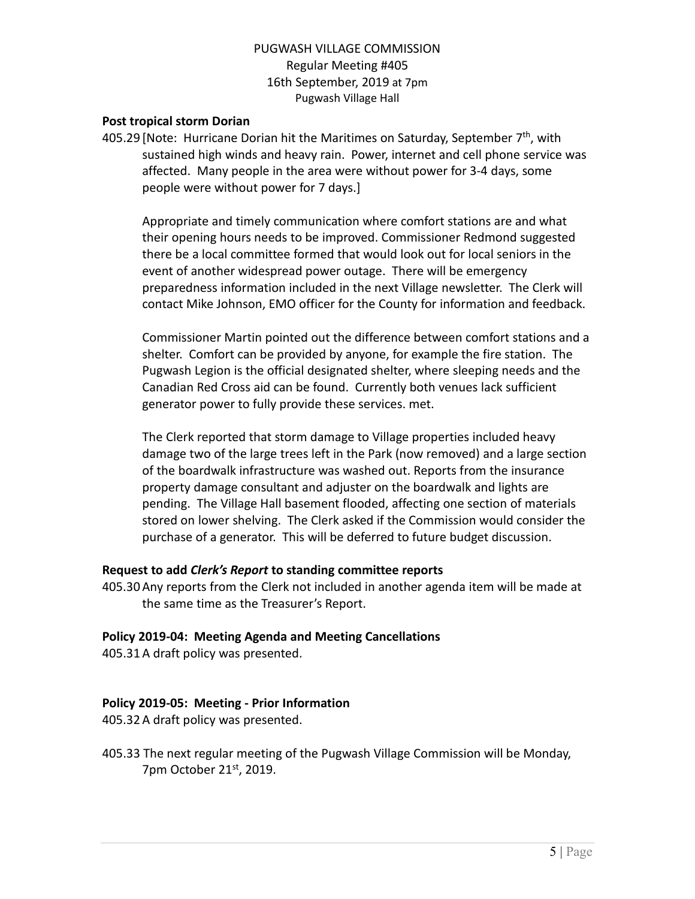#### **Post tropical storm Dorian**

405.29 [Note: Hurricane Dorian hit the Maritimes on Saturday, September 7<sup>th</sup>, with sustained high winds and heavy rain. Power, internet and cell phone service was affected. Many people in the area were without power for 3-4 days, some people were without power for 7 days.]

Appropriate and timely communication where comfort stations are and what their opening hours needs to be improved. Commissioner Redmond suggested there be a local committee formed that would look out for local seniors in the event of another widespread power outage. There will be emergency preparedness information included in the next Village newsletter. The Clerk will contact Mike Johnson, EMO officer for the County for information and feedback.

Commissioner Martin pointed out the difference between comfort stations and a shelter. Comfort can be provided by anyone, for example the fire station. The Pugwash Legion is the official designated shelter, where sleeping needs and the Canadian Red Cross aid can be found. Currently both venues lack sufficient generator power to fully provide these services. met.

The Clerk reported that storm damage to Village properties included heavy damage two of the large trees left in the Park (now removed) and a large section of the boardwalk infrastructure was washed out. Reports from the insurance property damage consultant and adjuster on the boardwalk and lights are pending. The Village Hall basement flooded, affecting one section of materials stored on lower shelving. The Clerk asked if the Commission would consider the purchase of a generator. This will be deferred to future budget discussion.

#### **Request to add** *Clerk's Report* **to standing committee reports**

405.30Any reports from the Clerk not included in another agenda item will be made at the same time as the Treasurer's Report.

#### **Policy 2019-04: Meeting Agenda and Meeting Cancellations**

405.31A draft policy was presented.

#### **Policy 2019-05: Meeting - Prior Information**

405.32A draft policy was presented.

405.33 The next regular meeting of the Pugwash Village Commission will be Monday, 7pm October 21st, 2019.